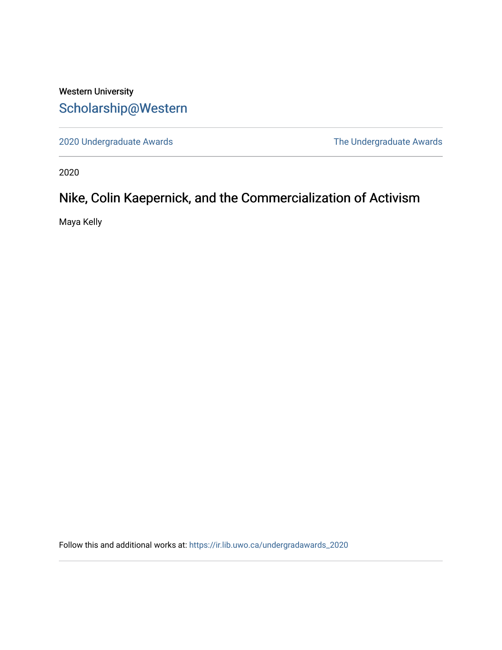## Western University [Scholarship@Western](https://ir.lib.uwo.ca/)

[2020 Undergraduate Awards](https://ir.lib.uwo.ca/undergradawards_2020) [The Undergraduate Awards](https://ir.lib.uwo.ca/ungradawards) 

2020

# Nike, Colin Kaepernick, and the Commercialization of Activism

Maya Kelly

Follow this and additional works at: [https://ir.lib.uwo.ca/undergradawards\\_2020](https://ir.lib.uwo.ca/undergradawards_2020?utm_source=ir.lib.uwo.ca%2Fundergradawards_2020%2F7&utm_medium=PDF&utm_campaign=PDFCoverPages)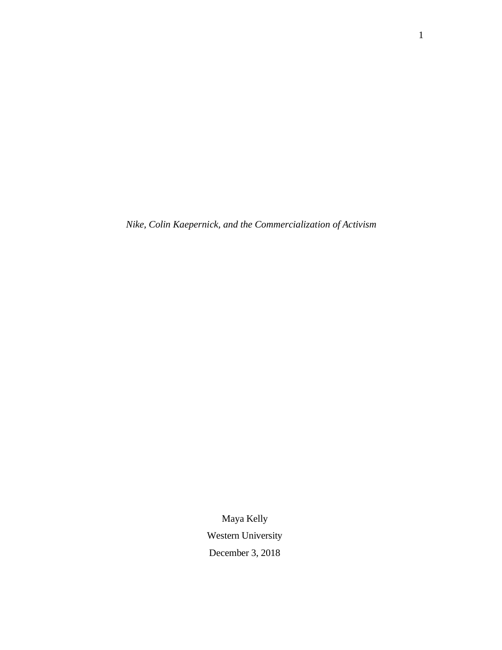*Nike, Colin Kaepernick, and the Commercialization of Activism*

Maya Kelly Western University December 3, 2018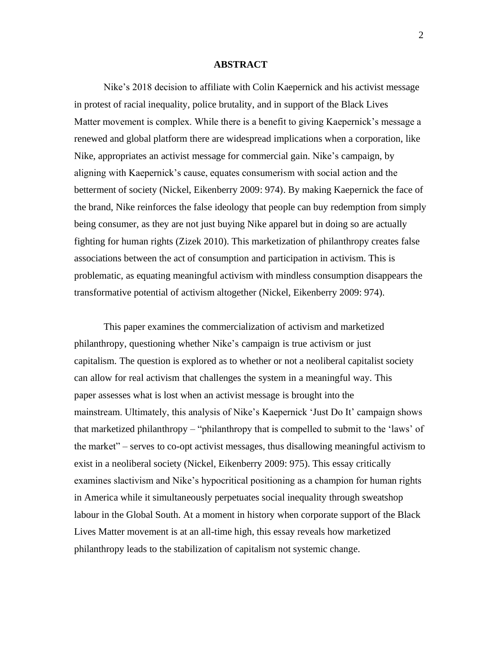### **ABSTRACT**

Nike's 2018 decision to affiliate with Colin Kaepernick and his activist message in protest of racial inequality, police brutality, and in support of the Black Lives Matter movement is complex. While there is a benefit to giving Kaepernick's message a renewed and global platform there are widespread implications when a corporation, like Nike, appropriates an activist message for commercial gain. Nike's campaign, by aligning with Kaepernick's cause, equates consumerism with social action and the betterment of society (Nickel, Eikenberry 2009: 974). By making Kaepernick the face of the brand, Nike reinforces the false ideology that people can buy redemption from simply being consumer, as they are not just buying Nike apparel but in doing so are actually fighting for human rights (Zizek 2010). This marketization of philanthropy creates false associations between the act of consumption and participation in activism. This is problematic, as equating meaningful activism with mindless consumption disappears the transformative potential of activism altogether (Nickel, Eikenberry 2009: 974).

This paper examines the commercialization of activism and marketized philanthropy, questioning whether Nike's campaign is true activism or just capitalism. The question is explored as to whether or not a neoliberal capitalist society can allow for real activism that challenges the system in a meaningful way. This paper assesses what is lost when an activist message is brought into the mainstream. Ultimately, this analysis of Nike's Kaepernick 'Just Do It' campaign shows that marketized philanthropy – "philanthropy that is compelled to submit to the 'laws' of the market" – serves to co-opt activist messages, thus disallowing meaningful activism to exist in a neoliberal society (Nickel, Eikenberry 2009: 975). This essay critically examines slactivism and Nike's hypocritical positioning as a champion for human rights in America while it simultaneously perpetuates social inequality through sweatshop labour in the Global South. At a moment in history when corporate support of the Black Lives Matter movement is at an all-time high, this essay reveals how marketized philanthropy leads to the stabilization of capitalism not systemic change.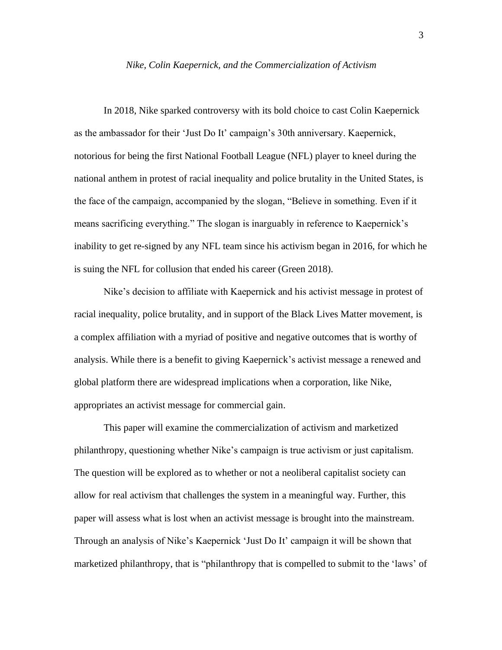#### *Nike, Colin Kaepernick, and the Commercialization of Activism*

In 2018, Nike sparked controversy with its bold choice to cast Colin Kaepernick as the ambassador for their 'Just Do It' campaign's 30th anniversary. Kaepernick, notorious for being the first National Football League (NFL) player to kneel during the national anthem in protest of racial inequality and police brutality in the United States, is the face of the campaign, accompanied by the slogan, "Believe in something. Even if it means sacrificing everything." The slogan is inarguably in reference to Kaepernick's inability to get re-signed by any NFL team since his activism began in 2016, for which he is suing the NFL for collusion that ended his career (Green 2018).

Nike's decision to affiliate with Kaepernick and his activist message in protest of racial inequality, police brutality, and in support of the Black Lives Matter movement, is a complex affiliation with a myriad of positive and negative outcomes that is worthy of analysis. While there is a benefit to giving Kaepernick's activist message a renewed and global platform there are widespread implications when a corporation, like Nike, appropriates an activist message for commercial gain.

This paper will examine the commercialization of activism and marketized philanthropy, questioning whether Nike's campaign is true activism or just capitalism. The question will be explored as to whether or not a neoliberal capitalist society can allow for real activism that challenges the system in a meaningful way. Further, this paper will assess what is lost when an activist message is brought into the mainstream. Through an analysis of Nike's Kaepernick 'Just Do It' campaign it will be shown that marketized philanthropy, that is "philanthropy that is compelled to submit to the 'laws' of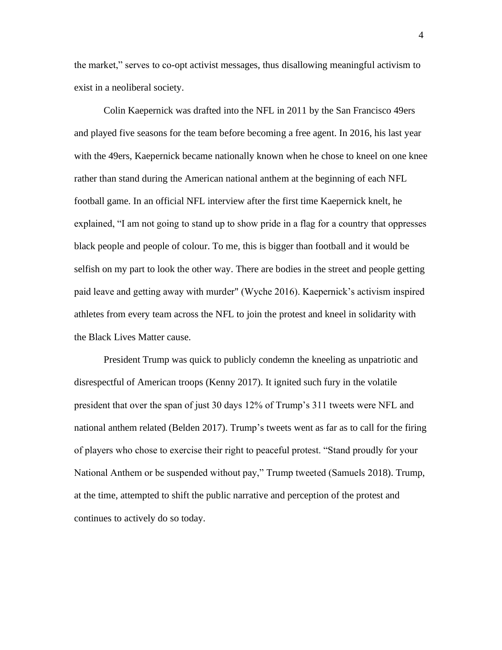the market," serves to co-opt activist messages, thus disallowing meaningful activism to exist in a neoliberal society.

Colin Kaepernick was drafted into the NFL in 2011 by the San Francisco 49ers and played five seasons for the team before becoming a free agent. In 2016, his last year with the 49ers, Kaepernick became nationally known when he chose to kneel on one knee rather than stand during the American national anthem at the beginning of each NFL football game. In an official NFL interview after the first time Kaepernick knelt, he explained, "I am not going to stand up to show pride in a flag for a country that oppresses black people and people of colour. To me, this is bigger than football and it would be selfish on my part to look the other way. There are bodies in the street and people getting paid leave and getting away with murder" (Wyche 2016). Kaepernick's activism inspired athletes from every team across the NFL to join the protest and kneel in solidarity with the Black Lives Matter cause.

President Trump was quick to publicly condemn the kneeling as unpatriotic and disrespectful of American troops (Kenny 2017). It ignited such fury in the volatile president that over the span of just 30 days 12% of Trump's 311 tweets were NFL and national anthem related (Belden 2017). Trump's tweets went as far as to call for the firing of players who chose to exercise their right to peaceful protest. "Stand proudly for your National Anthem or be suspended without pay," Trump tweeted (Samuels 2018). Trump, at the time, attempted to shift the public narrative and perception of the protest and continues to actively do so today.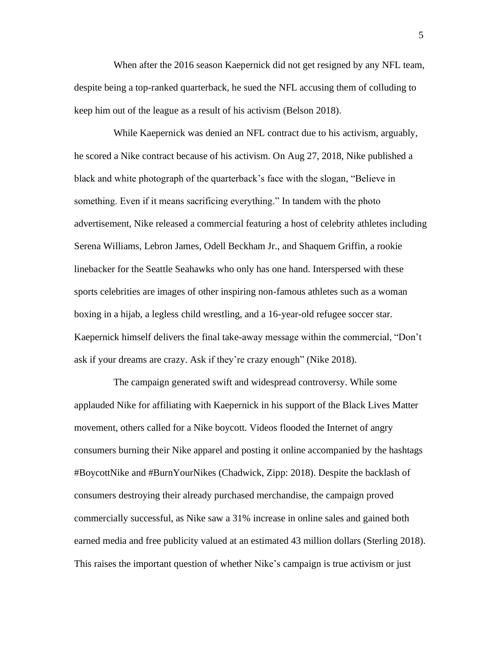When after the 2016 season Kaepernick did not get resigned by any NFL team, despite being a top-ranked quarterback, he sued the NFL accusing them of colluding to keep him out of the league as a result of his activism (Belson 2018).

While Kaepernick was denied an NFL contract due to his activism, arguably, he scored a Nike contract because of his activism. On Aug 27, 2018, Nike published a black and white photograph of the quarterback's face with the slogan, "Believe in something. Even if it means sacrificing everything." In tandem with the photo advertisement, Nike released a commercial featuring a host of celebrity athletes including Serena Williams, Lebron James, Odell Beckham Jr., and Shaquem Griffin, a rookie linebacker for the Seattle Seahawks who only has one hand. Interspersed with these sports celebrities are images of other inspiring non-famous athletes such as a woman boxing in a hijab, a legless child wrestling, and a 16-year-old refugee soccer star. Kaepernick himself delivers the final take-away message within the commercial, "Don't ask if your dreams are crazy. Ask if they're crazy enough" (Nike 2018).

The campaign generated swift and widespread controversy. While some applauded Nike for affiliating with Kaepernick in his support of the Black Lives Matter movement, others called for a Nike boycott. Videos flooded the Internet of angry consumers burning their Nike apparel and posting it online accompanied by the hashtags #BoycottNike and #BurnYourNikes (Chadwick, Zipp: 2018). Despite the backlash of consumers destroying their already purchased merchandise, the campaign proved commercially successful, as Nike saw a 31% increase in online sales and gained both earned media and free publicity valued at an estimated 43 million dollars (Sterling 2018). This raises the important question of whether Nike's campaign is true activism or just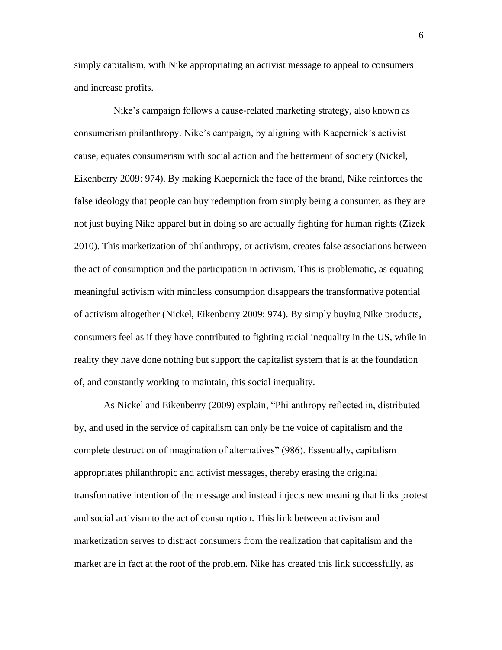simply capitalism, with Nike appropriating an activist message to appeal to consumers and increase profits.

Nike's campaign follows a cause-related marketing strategy, also known as consumerism philanthropy. Nike's campaign, by aligning with Kaepernick's activist cause, equates consumerism with social action and the betterment of society (Nickel, Eikenberry 2009: 974). By making Kaepernick the face of the brand, Nike reinforces the false ideology that people can buy redemption from simply being a consumer, as they are not just buying Nike apparel but in doing so are actually fighting for human rights (Zizek 2010). This marketization of philanthropy, or activism, creates false associations between the act of consumption and the participation in activism. This is problematic, as equating meaningful activism with mindless consumption disappears the transformative potential of activism altogether (Nickel, Eikenberry 2009: 974). By simply buying Nike products, consumers feel as if they have contributed to fighting racial inequality in the US, while in reality they have done nothing but support the capitalist system that is at the foundation of, and constantly working to maintain, this social inequality.

As Nickel and Eikenberry (2009) explain, "Philanthropy reflected in, distributed by, and used in the service of capitalism can only be the voice of capitalism and the complete destruction of imagination of alternatives" (986). Essentially, capitalism appropriates philanthropic and activist messages, thereby erasing the original transformative intention of the message and instead injects new meaning that links protest and social activism to the act of consumption. This link between activism and marketization serves to distract consumers from the realization that capitalism and the market are in fact at the root of the problem. Nike has created this link successfully, as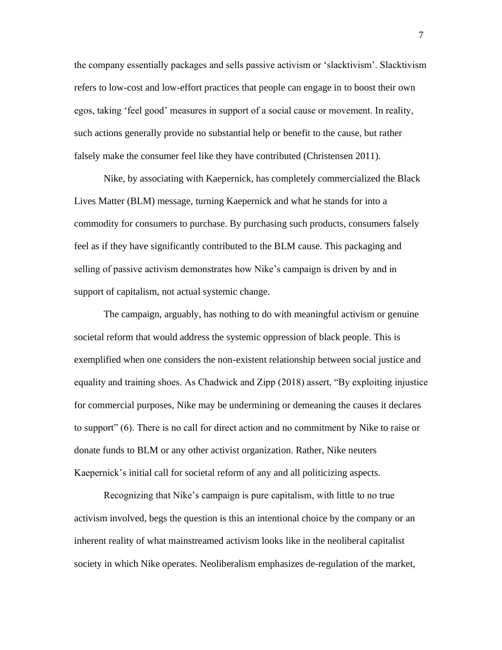the company essentially packages and sells passive activism or 'slacktivism'. Slacktivism refers to low-cost and low-effort practices that people can engage in to boost their own egos, taking 'feel good' measures in support of a social cause or movement. In reality, such actions generally provide no substantial help or benefit to the cause, but rather falsely make the consumer feel like they have contributed (Christensen 2011).

Nike, by associating with Kaepernick, has completely commercialized the Black Lives Matter (BLM) message, turning Kaepernick and what he stands for into a commodity for consumers to purchase. By purchasing such products, consumers falsely feel as if they have significantly contributed to the BLM cause. This packaging and selling of passive activism demonstrates how Nike's campaign is driven by and in support of capitalism, not actual systemic change.

The campaign, arguably, has nothing to do with meaningful activism or genuine societal reform that would address the systemic oppression of black people. This is exemplified when one considers the non-existent relationship between social justice and equality and training shoes. As Chadwick and Zipp (2018) assert, "By exploiting injustice for commercial purposes, Nike may be undermining or demeaning the causes it declares to support" (6). There is no call for direct action and no commitment by Nike to raise or donate funds to BLM or any other activist organization. Rather, Nike neuters Kaepernick's initial call for societal reform of any and all politicizing aspects.

Recognizing that Nike's campaign is pure capitalism, with little to no true activism involved, begs the question is this an intentional choice by the company or an inherent reality of what mainstreamed activism looks like in the neoliberal capitalist society in which Nike operates. Neoliberalism emphasizes de-regulation of the market,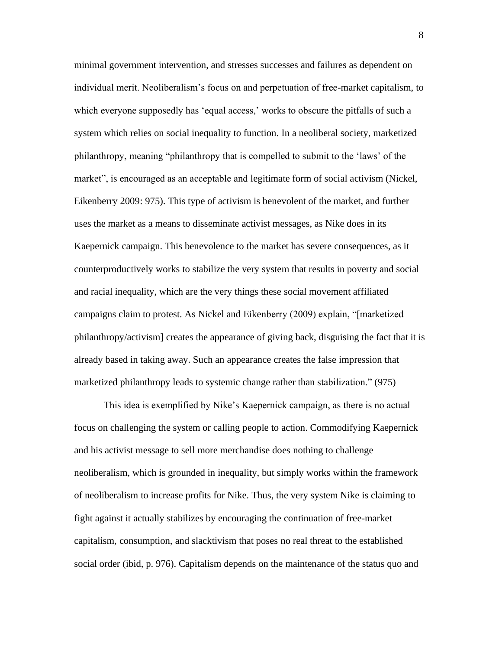minimal government intervention, and stresses successes and failures as dependent on individual merit. Neoliberalism's focus on and perpetuation of free-market capitalism, to which everyone supposedly has 'equal access,' works to obscure the pitfalls of such a system which relies on social inequality to function. In a neoliberal society, marketized philanthropy, meaning "philanthropy that is compelled to submit to the 'laws' of the market", is encouraged as an acceptable and legitimate form of social activism (Nickel, Eikenberry 2009: 975). This type of activism is benevolent of the market, and further uses the market as a means to disseminate activist messages, as Nike does in its Kaepernick campaign. This benevolence to the market has severe consequences, as it counterproductively works to stabilize the very system that results in poverty and social and racial inequality, which are the very things these social movement affiliated campaigns claim to protest. As Nickel and Eikenberry (2009) explain, "[marketized philanthropy/activism] creates the appearance of giving back, disguising the fact that it is already based in taking away. Such an appearance creates the false impression that marketized philanthropy leads to systemic change rather than stabilization." (975)

This idea is exemplified by Nike's Kaepernick campaign, as there is no actual focus on challenging the system or calling people to action. Commodifying Kaepernick and his activist message to sell more merchandise does nothing to challenge neoliberalism, which is grounded in inequality, but simply works within the framework of neoliberalism to increase profits for Nike. Thus, the very system Nike is claiming to fight against it actually stabilizes by encouraging the continuation of free-market capitalism, consumption, and slacktivism that poses no real threat to the established social order (ibid, p. 976). Capitalism depends on the maintenance of the status quo and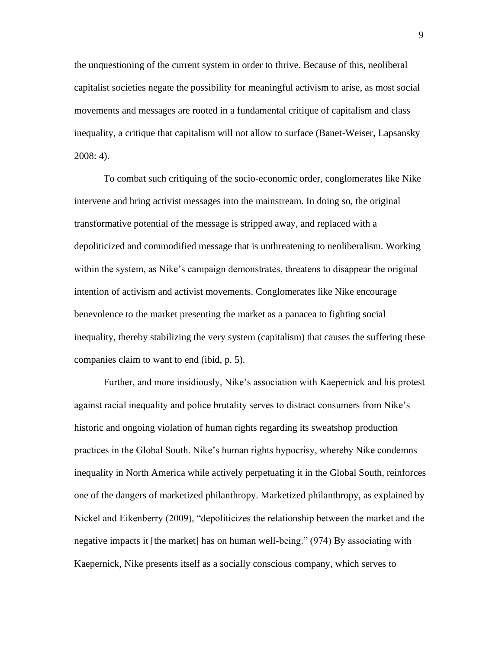the unquestioning of the current system in order to thrive. Because of this, neoliberal capitalist societies negate the possibility for meaningful activism to arise, as most social movements and messages are rooted in a fundamental critique of capitalism and class inequality, a critique that capitalism will not allow to surface (Banet-Weiser, Lapsansky 2008: 4).

To combat such critiquing of the socio-economic order, conglomerates like Nike intervene and bring activist messages into the mainstream. In doing so, the original transformative potential of the message is stripped away, and replaced with a depoliticized and commodified message that is unthreatening to neoliberalism. Working within the system, as Nike's campaign demonstrates, threatens to disappear the original intention of activism and activist movements. Conglomerates like Nike encourage benevolence to the market presenting the market as a panacea to fighting social inequality, thereby stabilizing the very system (capitalism) that causes the suffering these companies claim to want to end (ibid, p. 5).

Further, and more insidiously, Nike's association with Kaepernick and his protest against racial inequality and police brutality serves to distract consumers from Nike's historic and ongoing violation of human rights regarding its sweatshop production practices in the Global South. Nike's human rights hypocrisy, whereby Nike condemns inequality in North America while actively perpetuating it in the Global South, reinforces one of the dangers of marketized philanthropy. Marketized philanthropy, as explained by Nickel and Eikenberry (2009), "depoliticizes the relationship between the market and the negative impacts it [the market] has on human well-being." (974) By associating with Kaepernick, Nike presents itself as a socially conscious company, which serves to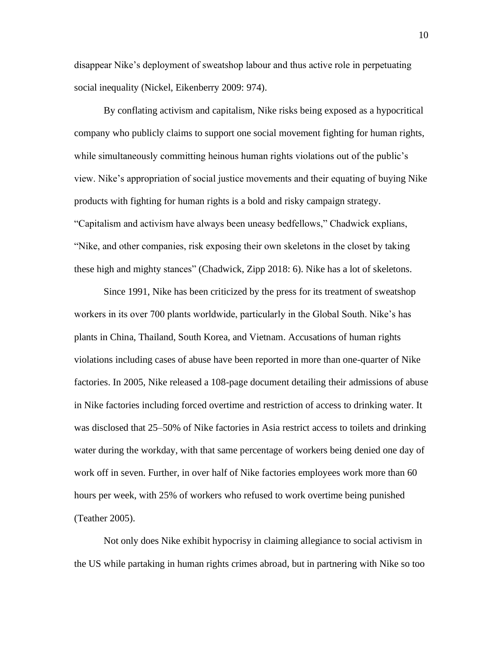disappear Nike's deployment of sweatshop labour and thus active role in perpetuating social inequality (Nickel, Eikenberry 2009: 974).

By conflating activism and capitalism, Nike risks being exposed as a hypocritical company who publicly claims to support one social movement fighting for human rights, while simultaneously committing heinous human rights violations out of the public's view. Nike's appropriation of social justice movements and their equating of buying Nike products with fighting for human rights is a bold and risky campaign strategy. "Capitalism and activism have always been uneasy bedfellows," Chadwick explians, "Nike, and other companies, risk exposing their own skeletons in the closet by taking these high and mighty stances" (Chadwick, Zipp 2018: 6). Nike has a lot of skeletons.

Since 1991, Nike has been criticized by the press for its treatment of sweatshop workers in its over 700 plants worldwide, particularly in the Global South. Nike's has plants in China, Thailand, South Korea, and Vietnam. Accusations of human rights violations including cases of abuse have been reported in more than one-quarter of Nike factories. In 2005, Nike released a 108-page document detailing their admissions of abuse in Nike factories including forced overtime and restriction of access to drinking water. It was disclosed that 25–50% of Nike factories in Asia restrict access to toilets and drinking water during the workday, with that same percentage of workers being denied one day of work off in seven. Further, in over half of Nike factories employees work more than 60 hours per week, with 25% of workers who refused to work overtime being punished (Teather 2005).

Not only does Nike exhibit hypocrisy in claiming allegiance to social activism in the US while partaking in human rights crimes abroad, but in partnering with Nike so too

10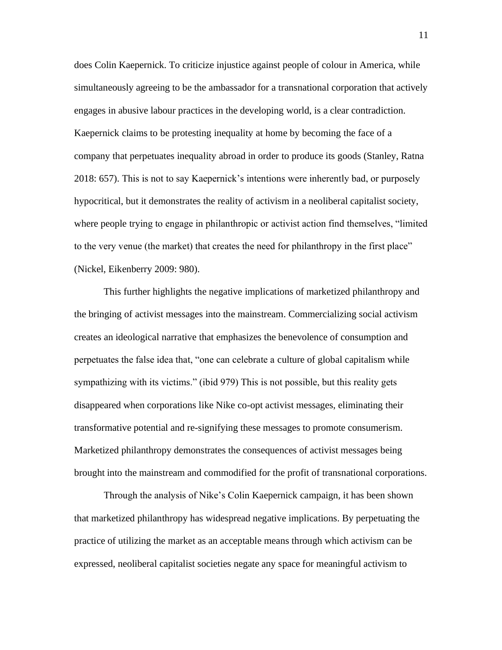does Colin Kaepernick. To criticize injustice against people of colour in America, while simultaneously agreeing to be the ambassador for a transnational corporation that actively engages in abusive labour practices in the developing world, is a clear contradiction. Kaepernick claims to be protesting inequality at home by becoming the face of a company that perpetuates inequality abroad in order to produce its goods (Stanley, Ratna 2018: 657). This is not to say Kaepernick's intentions were inherently bad, or purposely hypocritical, but it demonstrates the reality of activism in a neoliberal capitalist society, where people trying to engage in philanthropic or activist action find themselves, "limited to the very venue (the market) that creates the need for philanthropy in the first place" (Nickel, Eikenberry 2009: 980).

This further highlights the negative implications of marketized philanthropy and the bringing of activist messages into the mainstream. Commercializing social activism creates an ideological narrative that emphasizes the benevolence of consumption and perpetuates the false idea that, "one can celebrate a culture of global capitalism while sympathizing with its victims." (ibid 979) This is not possible, but this reality gets disappeared when corporations like Nike co-opt activist messages, eliminating their transformative potential and re-signifying these messages to promote consumerism. Marketized philanthropy demonstrates the consequences of activist messages being brought into the mainstream and commodified for the profit of transnational corporations.

Through the analysis of Nike's Colin Kaepernick campaign, it has been shown that marketized philanthropy has widespread negative implications. By perpetuating the practice of utilizing the market as an acceptable means through which activism can be expressed, neoliberal capitalist societies negate any space for meaningful activism to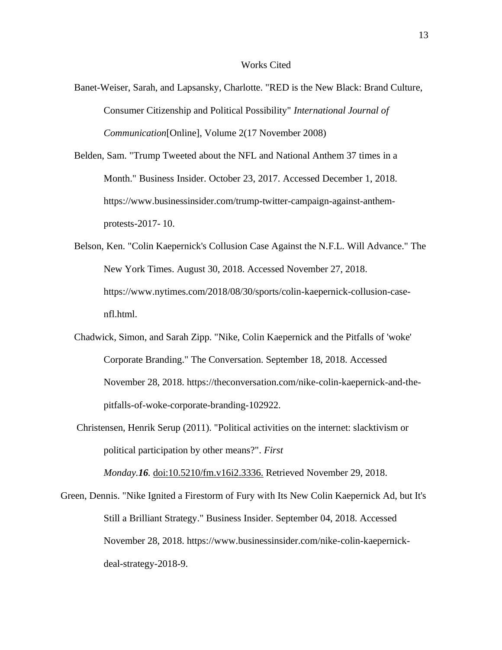### Works Cited

- Banet-Weiser, Sarah, and Lapsansky, Charlotte. "RED is the New Black: Brand Culture, Consumer Citizenship and Political Possibility" *International Journal of Communication*[Online], Volume 2(17 November 2008)
- Belden, Sam. "Trump Tweeted about the NFL and National Anthem 37 times in a Month." Business Insider. October 23, 2017. Accessed December 1, 2018. https:/[/www.businessinsider.com/trump-twitter-campaign-against-anthem](http://www.businessinsider.com/trump-twitter-campaign-against-anthem-)protests-2017- 10.
- Belson, Ken. "Colin Kaepernick's Collusion Case Against the N.F.L. Will Advance." The New York Times. August 30, 2018. Accessed November 27, 2018. https:/[/www.nytimes.com/2018/08/30/sports/colin-kaepernick-collusion-case](http://www.nytimes.com/2018/08/30/sports/colin-kaepernick-collusion-case-)nfl.html.
- Chadwick, Simon, and Sarah Zipp. "Nike, Colin Kaepernick and the Pitfalls of 'woke' Corporate Branding." The Conversation. September 18, 2018. Accessed November 28, 2018. https://theconversation.com/nike-colin-kaepernick-and-thepitfalls-of-woke-corporate-branding-102922.
- Christensen, Henrik Serup (2011). "Political activities on the internet: slacktivism or political participation by other means?". *First*

*Monday.16.* doi:10.5210/fm.v16i2.3336. Retrieved November 29, 2018.

Green, Dennis. "Nike Ignited a Firestorm of Fury with Its New Colin Kaepernick Ad, but It's Still a Brilliant Strategy." Business Insider. September 04, 2018. Accessed November 28, 2018. https:/[/www.businessinsider.com/nike-colin-kaepernick](http://www.businessinsider.com/nike-colin-kaepernick-)deal-strategy-2018-9.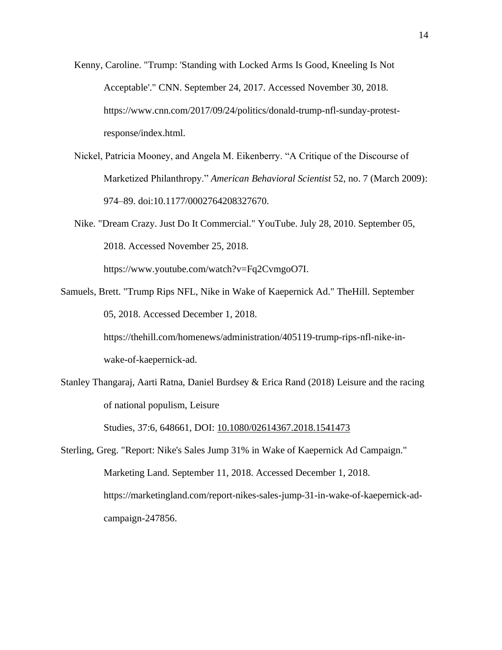- Kenny, Caroline. "Trump: 'Standing with Locked Arms Is Good, Kneeling Is Not Acceptable'." CNN. September 24, 2017. Accessed November 30, 2018. https:/[/www.cnn.com/2017/09/24/politics/donald-trump-nfl-sunday-protest](http://www.cnn.com/2017/09/24/politics/donald-trump-nfl-sunday-protest-)response/index.html.
- Nickel, Patricia Mooney, and Angela M. Eikenberry. "A Critique of the Discourse of Marketized Philanthropy." *American Behavioral Scientist* 52, no. 7 (March 2009): 974–89. doi:10.1177/0002764208327670.
- Nike. "Dream Crazy. Just Do It Commercial." YouTube. July 28, 2010. September 05, 2018. Accessed November 25, 2018.

https:/[/www.youtube.com/watch?v=Fq2CvmgoO7I.](http://www.youtube.com/watch?v=Fq2CvmgoO7I)

Samuels, Brett. "Trump Rips NFL, Nike in Wake of Kaepernick Ad." TheHill. September 05, 2018. Accessed December 1, 2018.

> https://thehill.com/homenews/administration/405119-trump-rips-nfl-nike-inwake-of-kaepernick-ad.

Stanley Thangaraj, Aarti Ratna, Daniel Burdsey & Erica Rand (2018) Leisure and the racing of national populism, Leisure

Studies, 37:6, 648661, DOI: 10.1080/02614367.2018.1541473

Sterling, Greg. "Report: Nike's Sales Jump 31% in Wake of Kaepernick Ad Campaign." Marketing Land. September 11, 2018. Accessed December 1, 2018. https://marketingland.com/report-nikes-sales-jump-31-in-wake-of-kaepernick-adcampaign-247856.